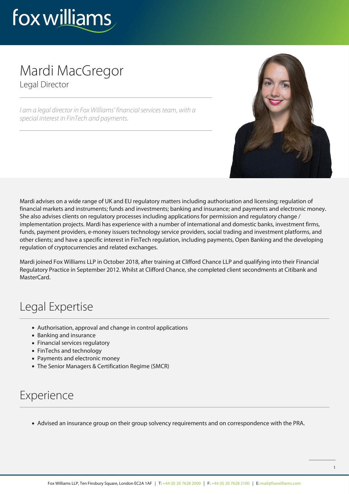

## Mardi MacGregor Legal Director

I am a legal director in Fox Williams' financial services team, with a special interest in FinTech and payments.



Mardi advises on a wide range of UK and EU regulatory matters including authorisation and licensing; regulation of financial markets and instruments; funds and investments; banking and insurance; and payments and electronic money. She also advises clients on regulatory processes including applications for permission and regulatory change / implementation projects. Mardi has experience with a number of international and domestic banks, investment firms, funds, payment providers, e-money issuers technology service providers, social trading and investment platforms, and other clients; and have a specific interest in FinTech regulation, including payments, Open Banking and the developing regulation of cryptocurrencies and related exchanges.

Mardi joined Fox Williams LLP in October 2018, after training at Clifford Chance LLP and qualifying into their Financial Regulatory Practice in September 2012. Whilst at Clifford Chance, she completed client secondments at Citibank and MasterCard

## Legal Expertise

- Authorisation, approval and change in control applications
- Banking and insurance
- Financial services regulatory
- FinTechs and technology
- Payments and electronic money
- The Senior Managers & Certification Regime (SMCR)

## Experience

Advised an insurance group on their group solvency requirements and on correspondence with the PRA.